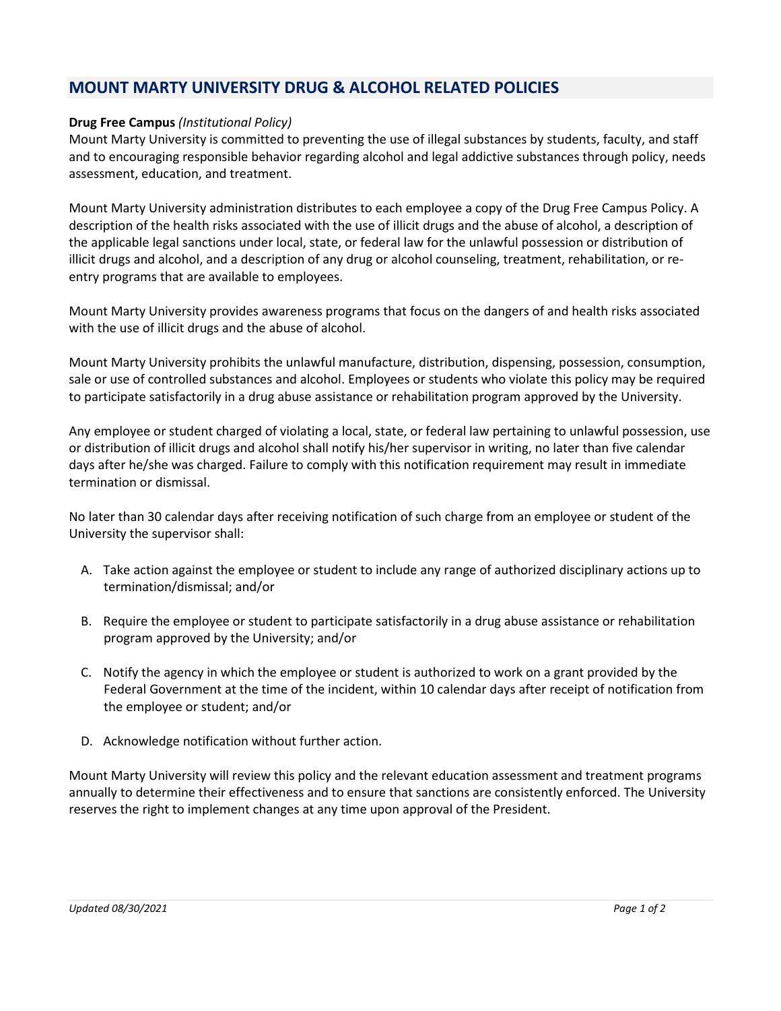## **MOUNT MARTY UNIVERSITY DRUG & ALCOHOL RELATED POLICIES**

## **Drug Free Campus** *(Institutional Policy)*

Mount Marty University is committed to preventing the use of illegal substances by students, faculty, and staff and to encouraging responsible behavior regarding alcohol and legal addictive substances through policy, needs assessment, education, and treatment.

Mount Marty University administration distributes to each employee a copy of the Drug Free Campus Policy. A description of the health risks associated with the use of illicit drugs and the abuse of alcohol, a description of the applicable legal sanctions under local, state, or federal law for the unlawful possession or distribution of illicit drugs and alcohol, and a description of any drug or alcohol counseling, treatment, rehabilitation, or reentry programs that are available to employees.

Mount Marty University provides awareness programs that focus on the dangers of and health risks associated with the use of illicit drugs and the abuse of alcohol.

Mount Marty University prohibits the unlawful manufacture, distribution, dispensing, possession, consumption, sale or use of controlled substances and alcohol. Employees or students who violate this policy may be required to participate satisfactorily in a drug abuse assistance or rehabilitation program approved by the University.

Any employee or student charged of violating a local, state, or federal law pertaining to unlawful possession, use or distribution of illicit drugs and alcohol shall notify his/her supervisor in writing, no later than five calendar days after he/she was charged. Failure to comply with this notification requirement may result in immediate termination or dismissal.

No later than 30 calendar days after receiving notification of such charge from an employee or student of the University the supervisor shall:

- A. Take action against the employee or student to include any range of authorized disciplinary actions up to termination/dismissal; and/or
- B. Require the employee or student to participate satisfactorily in a drug abuse assistance or rehabilitation program approved by the University; and/or
- C. Notify the agency in which the employee or student is authorized to work on a grant provided by the Federal Government at the time of the incident, within 10 calendar days after receipt of notification from the employee or student; and/or
- D. Acknowledge notification without further action.

Mount Marty University will review this policy and the relevant education assessment and treatment programs annually to determine their effectiveness and to ensure that sanctions are consistently enforced. The University reserves the right to implement changes at any time upon approval of the President.